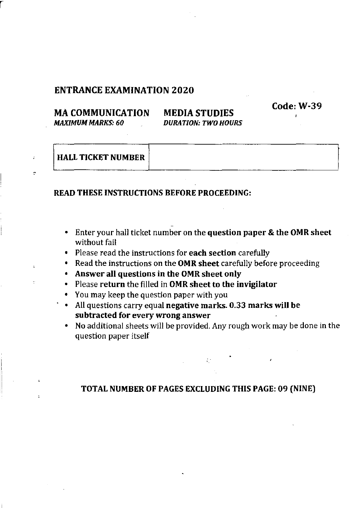# ENTRANCE EXAMINATION 2020

MA COMMUNICATION MAXIMUM MARKS: 60

MEDIA STUDIES *DURATION: TWO HOURS*  Code: W-39

HALL TICKET NUMBER

r

# READ THESE INSTRUCTIONS BEFORE PROCEEDING:

- Enter your hall ticket number on the question paper & the OMR sheet without fail
- Please read the instructions for each section carefully
- Read the instructions on the OMR sheet carefully before proceeding
- Answer all questions in the OMR sheet only
- Please return the filled in OMR sheet to the invigilator
- You may keep the question paper with you
- All questions carry equal negative marks. 0.33 marks will be subtracted for every wrong answer
- No additional sheets will be provided. Any rough work may be done in the question paper itself

# TOTAL NUMBER OF PAGES EXCLUDING THIS PAGE: 09 (NINE)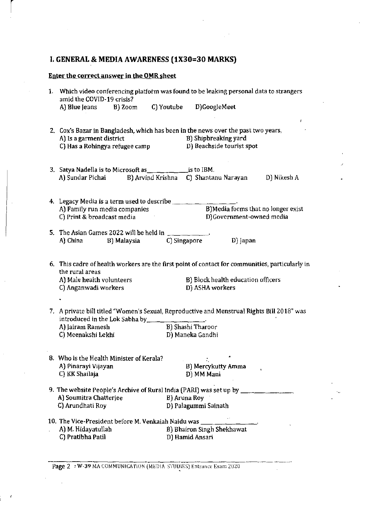# I. GENERAL & MEDIA AWARENESS (1X30=30 MARKS)

# **Enter the correct answer in the OMR sheet**

 $\vert$ 

| 1. Which video conferencing platform was found to be leaking personal data to strangers<br>amid the COVID-19 crisis?                                                                                                             |
|----------------------------------------------------------------------------------------------------------------------------------------------------------------------------------------------------------------------------------|
| C) Youtube<br>D)GoogleMeet<br>A) Blue Jeans<br>B) Zoom<br>J.                                                                                                                                                                     |
| 2. Cox's Bazar in Bangladesh, which has been in the news over the past two years,<br>A) Is a garment district<br>B) Shipbreaking yard<br>C) Has a Rohingya refugee camp<br>D) Beachside tourist spot                             |
| A) Sundar Pichai B) Arvind Krishna C) Shantanu Narayan<br>D) Nikesh A                                                                                                                                                            |
| B) Media forms that no longer exist<br>A) Family run media companies<br>D)Government-owned media<br>C) Print & broadcast media                                                                                                   |
| 5. The Asian Games 2022 will be held in $\frac{1}{2}$<br>C) Singapore<br>D) Japan<br>A) China B) Malaysia                                                                                                                        |
| 6. This cadre of health workers are the first point of contact for communities, particularly in<br>the rural areas<br>A) Male health volunteers<br>B) Block health education officers<br>C) Anganwadi workers<br>D) ASHA workers |
| 7. A private bill titled "Women's Sexual, Reproductive and Menstrual Rights Bill 2018" was<br>B) Shashi Tharoor<br>A) Jairam Ramesh<br>D) Maneka Gandhi<br>C) Meenakshi Lekhi                                                    |
| 8. Who is the Health Minister of Kerala?<br>A) Pinarayi Vijayan<br>B) Mercykutty Amma<br>C) KK Shailaja<br>D) MM Mani                                                                                                            |
| 9. The website People's Archive of Rural India (PARI) was set up by _<br>A) Soumitra Chatterjee<br>B) Aruna Roy<br>C) Arundhati Roy<br>D) Palagummi Sainath                                                                      |
| 10. The Vice-President before M. Venkaiah Naidu was<br>A) M. Hidayatullah<br>B) Bhairon Singh Shekhawat<br>C) Pratibha Patil<br>D) Hamid Ansari                                                                                  |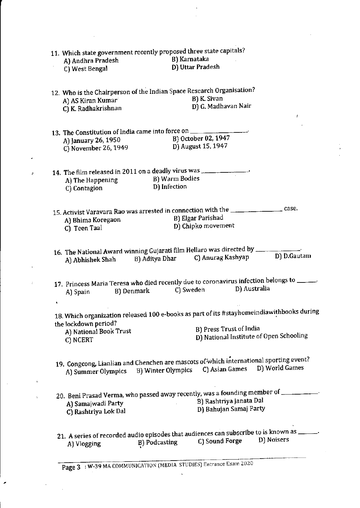|    | 11. Which state government recently proposed three state capitals?<br>B) Karnataka<br>A) Andhra Pradesh<br>D) Uttar Pradesh<br>C) West Bengal                                                                                      |
|----|------------------------------------------------------------------------------------------------------------------------------------------------------------------------------------------------------------------------------------|
|    | 12. Who is the Chairperson of the Indian Space Research Organisation?<br>B) K. Sivan<br>A) AS Kiran Kumar<br>D) G. Madhavan Nair<br>C) K. Radhakrishnan<br>t                                                                       |
|    | 13. The Constitution of India came into force on _______________________________<br>B) October 02, 1947<br>A) January 26, 1950<br>D) August 15, 1947<br>C) November 26, 1949                                                       |
| ż  | 14. The film released in 2011 on a deadly virus was ________________.<br>A) The Happening B) Warm Bodies<br>D) Infection<br>C) Contagion                                                                                           |
|    | 15. Activist Varavara Rao was arrested in connection with the ___________________ case.<br>B) Elgar Parishad<br>A) Bhima Koregaon<br>D) Chipko movement<br>C) Teen Taal                                                            |
|    | 16. The National Award winning Gujarati film Hellaro was directed by ____<br>D) D.Gautam<br>C) Anurag Kashyap<br>A) Abhishek Shah B) Aditya Dhar                                                                                   |
|    | 17. Princess Maria Teresa who died recently due to coronavirus infection belongs to ______.<br>D) Australia<br>B) Denmark C) Sweden<br>A) Spain                                                                                    |
|    | ٠<br>18. Which organization released 100 e-books as part of its #stayhomeindiawithbooks during<br>the lockdown period?<br>B) Press Trust of India<br>A) National Book Trust<br>D) National Institute of Open Schooling<br>C) NCERT |
|    | 19. Congcong, Lianlian and Chenchen are mascots of which international sporting event?<br>D) World Games<br>C) Asian Games<br>B) Winter Olympics<br>A) Summer Olympics                                                             |
| Ξ. | 20. Beni Prasad Verma, who passed away recently, was a founding member of ___________<br>B) Rashtriya Janata Dal<br>A) Samajwadi Party<br>D) Bahujan Samaj Party<br>C) Rashtriya Lok Dal                                           |
|    | 21. A series of recorded audio episodes that audiences can subscribe to is known as ______.<br>D) Noisers<br>C) Sound Forge<br><b>B</b> ) Podcasting<br>A) Vlogging                                                                |

Page 3 : W-39 MA COMMUNICATION (MEDIA STUDIES) Entrance Exam 2020

 $\ddot{\phantom{a}}$ 

J.

 $\bar{\beta}$ 

×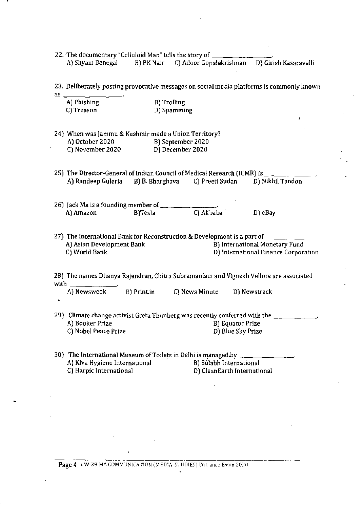22. The documentary "Celluloid Man" tells the story of --:-c-,-,-----:::-::-c B) PK Nair C) Adoor Gopalakrishnan D) Girish Kasaravalli

| as _________________________________                                                                                                    |                                    |                                                        | 23. Deliberately posting provocative messages on social media platforms is commonly known                                                                                                                                      |
|-----------------------------------------------------------------------------------------------------------------------------------------|------------------------------------|--------------------------------------------------------|--------------------------------------------------------------------------------------------------------------------------------------------------------------------------------------------------------------------------------|
| A) Phishing<br>C) Treason                                                                                                               | <b>B</b> ) Trolling<br>D) Spamming |                                                        | J.                                                                                                                                                                                                                             |
| 24) When was Jammu & Kashmir made a Union Territory?<br>A) October 2020 B) September 2020<br>C) November 2020 D) December 2020          |                                    |                                                        |                                                                                                                                                                                                                                |
| 25) The Director-General of Indian Council of Medical Research (ICMR) is ________<br>A) Randeep Guleria B) B. Bharghava C) Preeti Sudan |                                    |                                                        | D) Nikhil Tandon                                                                                                                                                                                                               |
| 26) Jack Ma is a founding member of ___________________.<br>A) Amazon<br><b>B</b> )Tesla                                                |                                    | C) Alibaba                                             | D) eBay                                                                                                                                                                                                                        |
| 27) The International Bank for Reconstruction & Development is a part of _______<br>A) Asian Development Bank<br>C) World Bank          |                                    |                                                        | B) International Monetary Fund<br>D) International Finance Corporation                                                                                                                                                         |
| A) Newsweek B) Print.in C) News Minute D) Newstrack                                                                                     |                                    |                                                        | 28) The names Dhanya Rajendran, Chitra Subramaniam and Vignesh Vellore are associated                                                                                                                                          |
| A) Booker Prize<br>C) Nobel Peace Prize                                                                                                 |                                    | <b>B</b> ) Equator Prize<br>D) Blue Sky Prize          | 29) Climate change activist Greta Thunberg was recently conferred with the contract of the contract of the state of the state of the state of the state of the state of the state of the state of the state of the state of th |
| 30) The International Museum of Toilets in Delhi is managed by $\equiv$<br>A) Kiva Hygiene International<br>C) Harpic International     |                                    | B) Sulabh International<br>D) CleanEarth International |                                                                                                                                                                                                                                |

Page 4 : W-39 MA COMMUNICATION (MEDIA STUDIES) Entrance Exam 2020

-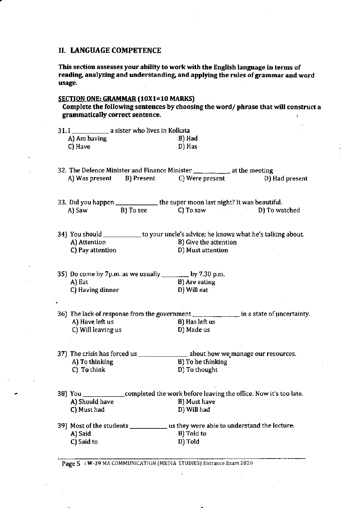## II. LANGUAGE COMPETENCE

**This section assesses your ability to work with the English language in terms of reading, analyzing and understanding. and applying the rules of grammar and word usage.** 

| <b>SECTION ONE: GRAMMAR (10X1=10 MARKS)</b><br>Complete the following sentences by choosing the word/phrase that will construct a<br>grammatically correct sentence. |                       | J.            |
|----------------------------------------------------------------------------------------------------------------------------------------------------------------------|-----------------------|---------------|
|                                                                                                                                                                      |                       |               |
| A) Am having                                                                                                                                                         | B) Had                |               |
| C) Have                                                                                                                                                              | D) Has                |               |
|                                                                                                                                                                      |                       |               |
| 32. The Defence Minister and Finance Minister _______________ at the meeting                                                                                         |                       |               |
| A) Was present B) Present C) Were present D) Had present                                                                                                             |                       |               |
| 33. Did you happen ______________ the super moon last night? It was beautiful.                                                                                       |                       |               |
| A) Saw B) To see C) To saw                                                                                                                                           |                       | D) To watched |
|                                                                                                                                                                      |                       |               |
| 34) You should ____________ to your uncle's advice; he knows what he's talking about.                                                                                |                       |               |
| A) Attention                                                                                                                                                         | B) Give the attention |               |
| C) Pay attention                                                                                                                                                     | D) Must attention     |               |
|                                                                                                                                                                      |                       |               |
| 35) Do come by 7p.m. as we usually $\_\_\_\_\_\_\_\_\$ by 7.30 p.m.                                                                                                  |                       |               |
| A) Eat                                                                                                                                                               | B) Are eating         |               |
| C) Having dinner                                                                                                                                                     | D) Will eat           |               |
| 36) The lack of response from the government _______________________ in a state of uncertainty.                                                                      |                       |               |
| A) Have left us                                                                                                                                                      | B) Has left us        |               |
| C) Will leaving us                                                                                                                                                   | D) Made us            |               |
|                                                                                                                                                                      |                       |               |
| 37) The crisis has forced us ____________________ about how we manage our resources.                                                                                 |                       |               |
| A) To thinking                                                                                                                                                       | B) To be thinking     |               |
| C) To think                                                                                                                                                          | D) To thought         |               |
|                                                                                                                                                                      |                       |               |
| 38) You ________________completed the work before leaving the office. Now it's too late.                                                                             |                       |               |
| A) Should have                                                                                                                                                       | B) Must have          |               |
| C) Must had                                                                                                                                                          | D) Will had           |               |
|                                                                                                                                                                      |                       |               |
| A) Said                                                                                                                                                              | B) Told to<br>à.      |               |
| C) Said to                                                                                                                                                           | D) Told               |               |
|                                                                                                                                                                      |                       |               |

Page 5 : W-39 MA COMMUNICATION (MEDIA STUDIES) Entrance Exam 2020

L,

 $\overline{\phantom{a}}$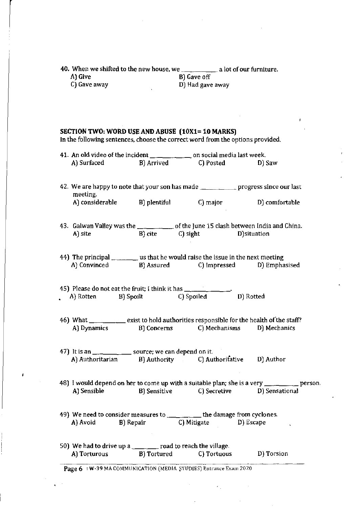| 40. When we shifted to the new house, we $\frac{1}{1}$ | a lot of our furniture. [ |
|--------------------------------------------------------|---------------------------|
| A) Give                                                | B) Gave off               |
| C) Gave away                                           | D) Had gave away          |

#### SECTION TWO: WORD USE AND ABUSE (10X1= 10 MARKS)

 $\begin{bmatrix} 1 \\ 1 \end{bmatrix}$ 

¥

In the following sentences, choose the correct word from the options provided.

| 41. An old video of the incident _______________ on social media last week.                                           |                     |             |                                                                                           |  |
|-----------------------------------------------------------------------------------------------------------------------|---------------------|-------------|-------------------------------------------------------------------------------------------|--|
| A) Surfaced B) Arrived C) Posted D) Saw                                                                               |                     |             |                                                                                           |  |
|                                                                                                                       |                     |             |                                                                                           |  |
|                                                                                                                       |                     |             |                                                                                           |  |
| meeting.<br>A) considerable B) plentiful C) major D) comfortable                                                      |                     |             |                                                                                           |  |
|                                                                                                                       |                     |             |                                                                                           |  |
|                                                                                                                       |                     |             |                                                                                           |  |
| A) site B) cite C) sight D) situation                                                                                 |                     |             |                                                                                           |  |
| 44) The principal ________ us that he would raise the issue in the next meeting                                       |                     |             |                                                                                           |  |
| A) Convinced B) Assured C) Impressed D) Emphasised                                                                    |                     |             |                                                                                           |  |
|                                                                                                                       |                     |             |                                                                                           |  |
|                                                                                                                       |                     |             |                                                                                           |  |
|                                                                                                                       |                     |             |                                                                                           |  |
| 46) What exist to hold authorities responsible for the health of the staff?                                           |                     |             |                                                                                           |  |
| A) Dynamics B) Concerns C) Mechanisms D) Mechanics                                                                    |                     |             |                                                                                           |  |
|                                                                                                                       |                     |             |                                                                                           |  |
| 47) It is an _______________ source; we can depend on it.<br>A) Authoritarian B) Authority C) Authoritative D) Author |                     |             |                                                                                           |  |
|                                                                                                                       |                     |             |                                                                                           |  |
|                                                                                                                       |                     |             | 48) I would depend on her to come up with a suitable plan; she is a very ________ person. |  |
| A) Sensible B) Sensitive C) Secretive D) Sensational                                                                  |                     |             |                                                                                           |  |
| 49) We need to consider measures to _______ the damage from cyclones.                                                 |                     |             |                                                                                           |  |
| B) Repair<br>A) Avoid                                                                                                 |                     | C) Mitigate | D) Escape                                                                                 |  |
|                                                                                                                       |                     |             |                                                                                           |  |
| 50) We had to drive up a _______ road to reach the village.<br>A) Torturous                                           | <b>B</b> ) Tortured | C) Tortuous | D) Torsion                                                                                |  |
|                                                                                                                       |                     |             |                                                                                           |  |

Page 6 : W-39 MA COMMUNICATION (MEDIA STUDIES) Entrance Exam 2020

 $\epsilon_{\rm{in}}$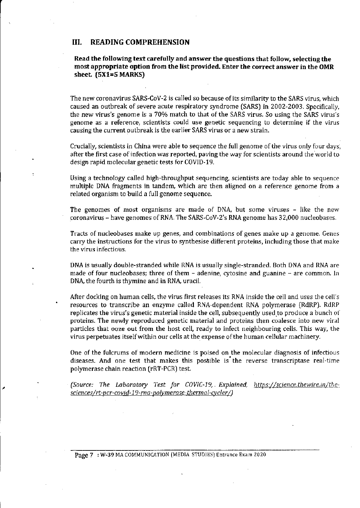#### III. READING COMPREHENSION

**Read the following text carefully and answer the questions that follow, selecting the most appropriate option from the list provided. Enter the correct answer in the OMR**  sheet. (5Xl=5 MARKS)

The new coronavirus SARS~CoV-2 is called so because of its similarity to the SARS virus, which caused an outbreak of severe acute respiratory syndrome (SARS) in 2002-2003. Specifically, the new virus's genome is a 70% match to that of the SARS virus. So using the SARS virus's genome as a reference, scientists could use genetic sequencing to determine if the virus causing the current outbreak is the earlier SARS virus or a new strain.

Crucially, scientists in China were able to sequence the full genome of the virus only four days, after the first case of infection was reported, paving the way for scientists around the world todesign rapid molecular genetic tests for COVID-19.

Using a technology called high-throughput sequencing. scientists are today able to sequence multiple DNA fragments in tandem, which are then aligned on a reference genome from a related organism to build a full genome sequence.

The genomes of most organisms are made of DNA, but some viruses - like the new coronavirus - have genomes of RNA The SARS-CoV-2's RNA genome has 32,000 nudeobases.

Tracts of nucleobases make up genes, and combinations of genes make up a genome. Genes carry the instructions for the virus to synthesise different proteins, including those that make the virus infectious.

DNA is usually double-stranded while RNA is usually single-stranded. Both DNA and RNA *are*  made of four nucleobases; three of them  $-$  adenine, cytosine and guanine  $-$  are common. In DNA, the fourth is thymine and in RNA, uracil.

After docking on human cells, the virus first releases its RNA inside the cell and uses the cell's resources to transcribe an enzyme called RNA-dependent RNA polymerase (RdRP). RdRP replicates the virus's genetic material inside the cell, subsequently used to produce a bunch of proteins. The newly reproduced genetic material and proteins then coalesce into new viral particles that ooze out from the host cell, ready to infect neighbouring cells. This way, the virus perpetuates itself within our cells atthe expense of the human cellular machinery.

One of the fulcrums of modern medicine is poised on the molecular diagnosis of infectious diseases. And one test that makes this possible is the reverse transcriptase real-time polymerase chain reaction (rRT-PCR) test.

*(Source: The Laboratory Test for COVIC-19, Explained, https://science.thewire.in/thesciences Irt -pcr -co vi d-19-rna* -*po lymera\$§..::Jherma [-cycler* /)

,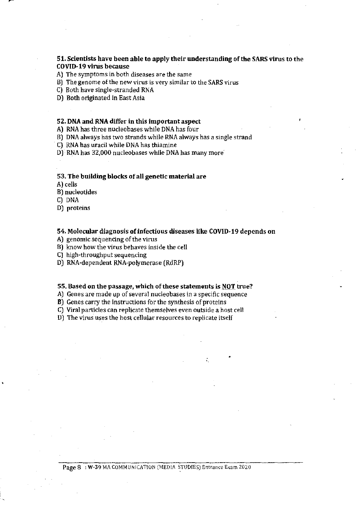### 51. Scientists have been able to apply their understanding of the SARS virus to the COVID-19 virus because

A) The symptoms in both diseases are the same

B) The genome of the new virus is very similar to the SARS virus

C) Both have Single-stranded RNA

D) Both Originated in East Asia

#### 52. DNA and RNA differ in this important aspect

A) RNA has three nucleobases while DNA has four

- B) DNA always has two strands while RNA always has a single strand
- C) RNA has uracil while DNA has thiamine

D) RNA has 32,000 nucleobases while DNA has many more"

#### 53. The building blocks of all genetic material are

A) cells

B) nucleotides

C) DNA

D) proteins

#### 54. Molecular diagnosis of infectious diseases like COVID-19 depends on

•

'.

A) genomic sequencing of the virus

B) know how the virus behaves inside the cell

C) high-throughput sequencing

D) RNA-dependent RNA-polymerase (RdRP)

#### 55. Based on the passage, which of these statements is  $NOT true?$ </u>

A) Genes are made up of several nucleobases in a specific sequence

B) Genes carry the instructions for the synthesis of proteins

C) Viral particles can replicate themselves even outside a host cell

D) The virus uses the host cellular resources to replicate itself

Page 8 : W-39 MA COMMUNICATION (MEDIA STUDIES) Entrance Exam 2020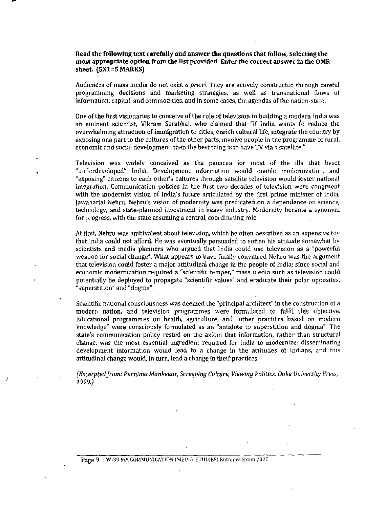## **Read the following text carefully and answer the questions that follow, selecting the most appropriate option from the list provided. Enter the correct answer in the OMR**  sheet. (5Xl=5 MARKS)

Audiences of mass media do not exist a *priori.* They are actively constructed through careful programming decisions and marketing strategies, as well as transnational flows of information, capital, and commodities, and in some cases, the agendas of the nation-state.

One of the first visionaries to conceive of the role of television in building a modern India was an eminent scientist, Vikram Sarabhai, who claimed that "if India wants to reduce the overwhelming attraction of immigration to cities, enrich cultural life, integrate the country by exposing one part to the cultures of the other parts, involve people in the programme of rural, economic and social development, then the best thing is to have TV via a satellite."

Television was widely conceived as the panacea for most of the ills that beset "underdeveloped" India. Development information would enable modernization, and "exposing" citizens to each other's cultures through satellite television would foster national integration. Communication policies in the first two decades of television were congruent with the modernist vision of India's future articulated by the first prime minister of India, Jawaharlal Nehru. Nehru's vision of modernity was predicated on a dependence on science, technology, and state-planned investment in heavy industry. Modernity became a synonym for progress, with the state assuming a central, coordinating role.

At first, Nehru was ambivalent about television, which he often described as an expensive toy that India could not afford. He was eventually persuaded to soften his attitude somewhat by scientists and media planners who argued that India could use television as a "powerful weapon for social change". What appears to have finally convinced Nehru was the argument that television could foster a major attitudinal change in the people of India: since social and economic modernization required a "scientific temper," mass media such as television could potentially be deployed to propagate "scientific values" and eradicate their polar opposites, "superstition" and "dogma".

Scientific national consciousness was deemed the "principal architect" in the construction of a modern nation, and television programmes were formulated to fulfil this objective. Educational programmes on health, agriculture, and "other practices based on modern knowledge" were consciously formulated as an "antidote to superstition and dogma". The state's communication policy rested on the axiom that information, rather than structural change, was the most essential ingredient required for India to modernize: disseminating development information would lead to a change in the attitudes of Indians, and this attitudinal change would, in turn, lead a change in their practices.

*(Excerpted from: Purnima Mankekar, Screening Culture, Viewing Politics, Duke University Press,*  1999.]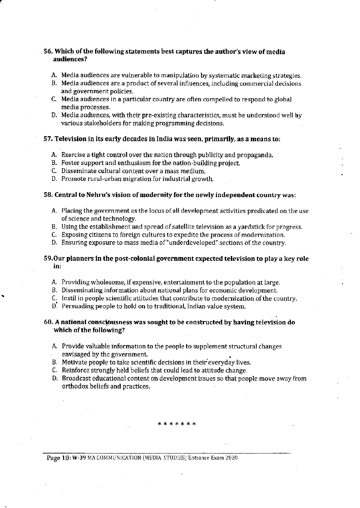## 56. Which of the following statements best captures the author's view of media audiences?

- A. Media audiences are vulnerable to manipulation by systematic marketing strategies.
- B. Media audiences are a product of several influences, including commercial decisions and government policies. .
- C, Media audiences in a particular country are often compelled to respond to global media processes,
- D. Media audiences, with their pre-existing characteristics, must be understood well by various stakeholders for making programming decisions.

#### 57. Television in its early decades in India was seen, primarily, as a means to:

- A Exercise a tight control over the nation through publicity and propaganda.
- B. Foster support and enthusiasm for the nation-building project.
- C. Disseminate cultural content over a mass medium.
- D. Promote rural-urban migration for industrial growth.

### 58. Central to Nehru's vision of modernity for the newly independent country was:

- A. Placing the government as the locus of all development activities predicated on the use of science and technology.
- B. Using the establishment and spread of satellite television as a yardstick for progress.
- C. Exposing citizens to foreign cultures to expedite the process of modernization.
- D. Ensuring exposure to mass media of "underdeveloped" sections of the country.

## 59. Our planners in the post-colonial government expected television to playa key role in:

- A. Providing wholesome, if expensive, entertainment to the population at large,
- S. Disseminating information about national plans (or economic development.
- c. Instil in people scientific attitudes that contribute to modernization of the country.
- D: Persuading people to hold on to traditional, Indian value system.

•

## 60. A national consciousness was sought to be constructed by having television do which of the following?

- A Provide valuable information to the people to supplement structural changes envisaged by the government.
- B. Motivate people to take scientific decisions in their everyday lives.
- C. Reinforce strongly held beliefs that could lead to attitude change.
- D. Broadcast educational content on development issues so that people move away from orthodox beliefs and practices.

\*\*\*\*\*\*\*

-------------------------- Page 10: W·39 MA CQMMUN!CAT10N (MEDIA STUDIES) EntranCl' Exam 2020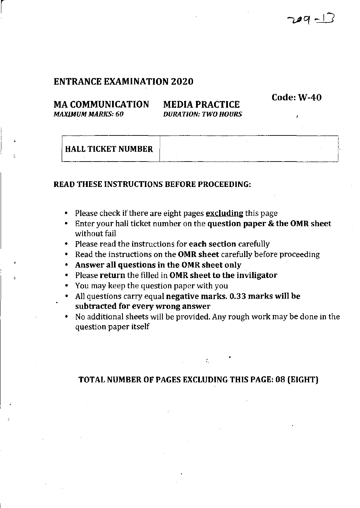# ENTRANCE EXAMINATION 2020

# MA COMMUNICATION MEDIA PRACTICE MAXIMUM MARKS: 60 DURATION: TWO HOURS

 $\begin{bmatrix} \phantom{-} \end{bmatrix}$ 

Code: W-40

| <b>HALL TICKET NUMBER</b> |  |
|---------------------------|--|
|                           |  |
|                           |  |

## READ THESE INSTRUCTIONS BEFORE PROCEEDING:

- Please check if there are eight pages **excluding** this page
- Enter your hall ticket number on the question paper & the OMR sheet without fail
- Please read the instructions for each section carefully
- Read the instructions on the OMR sheet carefully before proceeding
- Answer all questions in the OMR sheet only
- Please return the filled in OMR sheet to the inviligator
- You may keep the question paper with you
- All questions carry equal negative marks. 0.33 marks will be subtracted for every wrong answer
- No additional sheets will be provided, Any rough work may be done in the question paper itself

•

## TOTAL NUMBER OF PAGES EXCLUDING THIS PAGE: 08 (EIGHT)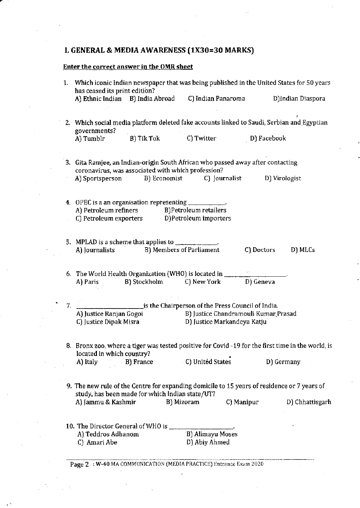# I. GENERAL & MEDIA AWARENESS (1X30=30 MARKS)

# **Enter the correct answer in the OMR sheet**

| 1. Which iconic Indian newspaper that was being published in the United States for 50 years<br>has ceased its print edition?                                  |                   |
|---------------------------------------------------------------------------------------------------------------------------------------------------------------|-------------------|
| A) Ethnic Indian B) India Abroad C) Indian Panaroma                                                                                                           | D)Indian Diaspora |
| 2. Which social media platform deleted fake accounts linked to Saudi, Serbian and Egyptian<br>governments?                                                    |                   |
| B) Tik Tok<br>C) Twitter<br>A) Tumblr<br>D) Facebook                                                                                                          |                   |
| 3. Gita Ramjee, an Indian-origin South African who passed away after contacting<br>coronavirus, was associated with which profession?                         |                   |
| A) Sportsperson B) Economist C) Journalist<br>D) Virologist                                                                                                   |                   |
| 4. OPEC is a an organisation representing ___________.<br>A) Petroleum refiners<br>C) Petroleum exporters<br>D) Petroleum importers<br>D) Petroleum importers |                   |
| 5. MPLAD is a scheme that applies to ___________.<br>A) Journalists B) Members of Parliament<br>C) Doctors                                                    | D) MLCs           |
| 6. The World Health Organization (WHO) is located in ___________________________<br>D) Geneva<br>B) Stockholm C) New York<br>A) Paris                         |                   |
| <b>Example 2</b> is the Chairperson of the Press Council of India.<br>7.                                                                                      |                   |
| A) Justice Ranjan Gogoi B) Justice Chandramouli Kumar Prasad<br>D) Justice Markandeya Katju<br>C) Justice Dipak Misra                                         |                   |
| 8. Bronx zoo, where a tiger was tested positive for Covid -19 for the first time in the world, is<br>located in which country?                                |                   |
| C) United States<br>B) France<br>A) Italy<br>D) Germany                                                                                                       |                   |
| 9. The new rule of the Centre for expanding domicile to 15 years of residence or 7 years of<br>study, has been made for which Indian state/UT?                |                   |
| B) Mizoram<br>C) Manipur<br>A) Jammu & Kashmir                                                                                                                | D) Chhattisgarh   |
| 10. The Director General of WHO is ____________<br>B) Alimayu Moses<br>A) Teddros Adhanom                                                                     |                   |
| C) Amari Abe<br>D) Abiy Ahmed                                                                                                                                 |                   |
| Page 2 : W-40 MA COMMUNICATION (MEDIA PRACTICE) Entrance Exam 2020                                                                                            |                   |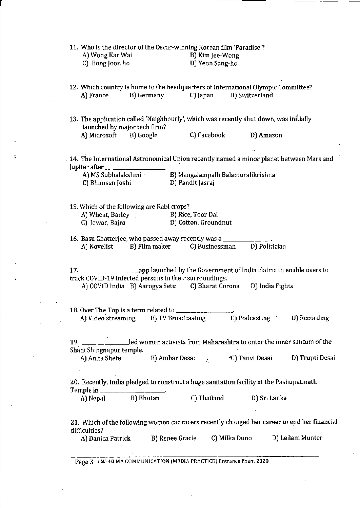| A) Wong Kar Wai               |                              | 11. Who is the director of the Oscar-winning Korean film 'Paradise'?<br>B) Kim Jee-Wong |                                                                                                    |  |
|-------------------------------|------------------------------|-----------------------------------------------------------------------------------------|----------------------------------------------------------------------------------------------------|--|
| C) Bong Joon ho               |                              | D) Yeon Sang-ho                                                                         |                                                                                                    |  |
|                               |                              |                                                                                         | 12. Which country is home to the headquarters of International Olympic Committee?                  |  |
| A) France                     | B) Germany                   | C) Japan                                                                                | D) Switzerland                                                                                     |  |
| A) Microsoft B) Google        | launched by major tech firm? | C) Facebook                                                                             | 13. The application called 'Neighbourly', which was recently shut down, was initially<br>D) Amazon |  |
|                               |                              |                                                                                         |                                                                                                    |  |
|                               |                              |                                                                                         | 14. The International Astronomical Union recently named a minor planet between Mars and            |  |
| [upiter after $\frac{1}{2}$ ] |                              |                                                                                         |                                                                                                    |  |
| A) MS Subbalakshmi            |                              | B) Mangalampalli Balamuralikrishna                                                      |                                                                                                    |  |
| C) Bhimsen Joshi              |                              | D) Pandit Jasraj                                                                        |                                                                                                    |  |

15. Which of the following are Rabi crops'!

| A) Wheat, Barley | B) Rice, Toor Dal    |
|------------------|----------------------|
| C) Jowar, Bajra  | D) Cotton, Groundnut |

16. Basu Chatterjee, who passed away recently was a \_\_\_\_\_\_\_\_\_\_\_\_\_\_.<br>A) Novelist B) Film maker C) Businessman D) Politician C) Businessman

17. **All 2010 Controls app launched by the Government of India claims to enable users to** track COVID-19 infected persons in their surroundings.

A) COVID India B) Aarogya Setu C) Bharat Corona D) India Fights

18. Over The Top is a term related to  $\_\_$ 

| A) Video streaming | B) TV Broadcasting | C) Podcasting | D) Recording |
|--------------------|--------------------|---------------|--------------|
|--------------------|--------------------|---------------|--------------|

19. \_\_\_\_\_\_\_\_\_\_\_\_\_\_led women activists from Maharashtra to enter the inner santum of the Shani Shingnapur temple. A) Anita Shete B) Ambar Desai ~) Tanvi Desai D) Trupti Desai

20. Recently, India pledged to construct a huge sanitation facility at the Pashupatinath Temple in .

| remple in |           |             |              |
|-----------|-----------|-------------|--------------|
| A) Nepal  | B) Bhutan | C) Thailand | D) Sri Lanka |

21. Which of the following women car racers recently changed her career to end her financial difficulties?

A) Danica Patrick B) Renee Gracie C) Milka Duno D) Leilani Munter

Page 3 : W-40 MA COMMUNICATION (MEDIA PRACTICE) Entrance Exam 2020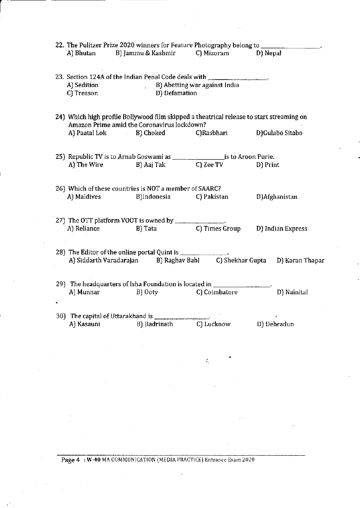| 22. The Pulitzer Prize 2020 winners for Feature Photography belong to _______ |                                                                             |                                                                                          |  |                                                                         |  |  |  |  |
|-------------------------------------------------------------------------------|-----------------------------------------------------------------------------|------------------------------------------------------------------------------------------|--|-------------------------------------------------------------------------|--|--|--|--|
|                                                                               |                                                                             | A) Bhutan B) Jammu & Kashmir C) Mizoram                                                  |  | D) Nepal                                                                |  |  |  |  |
|                                                                               |                                                                             |                                                                                          |  |                                                                         |  |  |  |  |
|                                                                               | 23. Section 124A of the Indian Penal Code deals with _____________________. |                                                                                          |  |                                                                         |  |  |  |  |
|                                                                               | B) Abetting war against India<br>D) Defamation<br>A) Sedition<br>C) Treason |                                                                                          |  |                                                                         |  |  |  |  |
|                                                                               |                                                                             |                                                                                          |  |                                                                         |  |  |  |  |
|                                                                               |                                                                             | 24) Which high profile Bollywood film skipped a theatrical release to start streaming on |  |                                                                         |  |  |  |  |
|                                                                               |                                                                             | Amazon Prime amid the Coronavirus lockdown?                                              |  |                                                                         |  |  |  |  |
|                                                                               |                                                                             | A) Paatal Lok (B) Choked (B) Rasbhari (D) Gulabo Sitabo                                  |  |                                                                         |  |  |  |  |
|                                                                               |                                                                             |                                                                                          |  |                                                                         |  |  |  |  |
|                                                                               |                                                                             | 25) Republic TV is to Arnab Goswami as _________________________is to Aroon Purie.       |  |                                                                         |  |  |  |  |
|                                                                               |                                                                             | A) The Wire B) Aaj Tak C) Zee TV D) Print                                                |  |                                                                         |  |  |  |  |
|                                                                               |                                                                             |                                                                                          |  |                                                                         |  |  |  |  |
|                                                                               |                                                                             | 26) Which of these countries is NOT a member of SAARC?                                   |  |                                                                         |  |  |  |  |
|                                                                               | A) Maldives                                                                 | B)Indonesia C) Pakistan D)Afghanistan                                                    |  |                                                                         |  |  |  |  |
|                                                                               |                                                                             |                                                                                          |  |                                                                         |  |  |  |  |
|                                                                               |                                                                             | A) Reliance B) Tata C) Times Group D) Indian Express                                     |  |                                                                         |  |  |  |  |
|                                                                               |                                                                             |                                                                                          |  |                                                                         |  |  |  |  |
|                                                                               |                                                                             | 28) The Editor of the online portal Quint is ____________.                               |  |                                                                         |  |  |  |  |
|                                                                               |                                                                             |                                                                                          |  | A) Siddarth Varadarajan B) Raghav Bahl C) Shekhar Gupta D) Karan Thapar |  |  |  |  |
|                                                                               |                                                                             |                                                                                          |  |                                                                         |  |  |  |  |
|                                                                               | 29) The headquarters of Isha Foundation is located in ___________           |                                                                                          |  |                                                                         |  |  |  |  |
|                                                                               |                                                                             | A) Munnar B) Ooty C) Coimbatore                                                          |  | D) Nainital                                                             |  |  |  |  |
|                                                                               |                                                                             |                                                                                          |  |                                                                         |  |  |  |  |
|                                                                               | 30) The capital of Uttarakhand is __________________.                       |                                                                                          |  |                                                                         |  |  |  |  |
|                                                                               |                                                                             | A) Kasauni B) Badrinath C) Lucknow D) Dehradun                                           |  |                                                                         |  |  |  |  |
|                                                                               |                                                                             |                                                                                          |  |                                                                         |  |  |  |  |

r

Page 4 : W-40 MA COMMUNICATION (MEDIA PRACTICE) Entrance Exam 2020

 $\ddot{\phantom{0}}$ 

•

 $\hat{\mathcal{A}}$ 

 $\zeta_{\rm c}$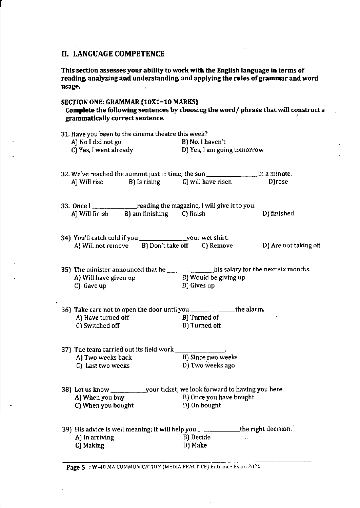## II. LANGUAGE COMPETENCE

This section assesses your ability to work with the English language in terms of reading, analyzing and understanding, and applying the rules of grammar and word usage.

| <b>SECTION ONE: GRAMMAR (10X1=10 MARKS)</b><br>Complete the following sentences by choosing the word/phrase that will construct a<br>grammatically correct sentence. |                                                                                     |                                                                                              |  |  |  |  |  |
|----------------------------------------------------------------------------------------------------------------------------------------------------------------------|-------------------------------------------------------------------------------------|----------------------------------------------------------------------------------------------|--|--|--|--|--|
| 31. Have you been to the cinema theatre this week?                                                                                                                   |                                                                                     |                                                                                              |  |  |  |  |  |
|                                                                                                                                                                      |                                                                                     | A) No I did not go<br>C) Yes, I went already B) No, I haven't<br>D) Yes, I am going tomorrow |  |  |  |  |  |
|                                                                                                                                                                      |                                                                                     |                                                                                              |  |  |  |  |  |
| 32. We've reached the summit just in time; the sun ________________________ in a minute.                                                                             |                                                                                     |                                                                                              |  |  |  |  |  |
| A) Will rise B) Is rising C) will have risen                                                                                                                         | D)rose                                                                              |                                                                                              |  |  |  |  |  |
| 33. Once I _________________reading the magazine, I will give it to you.                                                                                             |                                                                                     |                                                                                              |  |  |  |  |  |
| A) Will finish B) am finishing C) finish                                                                                                                             | D) finished                                                                         |                                                                                              |  |  |  |  |  |
|                                                                                                                                                                      |                                                                                     |                                                                                              |  |  |  |  |  |
|                                                                                                                                                                      | A) Will not remove B) Don't take off C) Remove D) Are not taking off                |                                                                                              |  |  |  |  |  |
|                                                                                                                                                                      | 35) The minister announced that he _____________his salary for the next six months. |                                                                                              |  |  |  |  |  |
| A) Will have given up                                                                                                                                                | B) Would be giving up                                                               |                                                                                              |  |  |  |  |  |
| C) Gave up                                                                                                                                                           | D) Gives up                                                                         |                                                                                              |  |  |  |  |  |
|                                                                                                                                                                      | 36) Take care not to open the door until you ________________the alarm.             |                                                                                              |  |  |  |  |  |
| A) Have turned off                                                                                                                                                   | <b>B</b> Turned of                                                                  |                                                                                              |  |  |  |  |  |
| C) Switched off                                                                                                                                                      | D) Turned off                                                                       |                                                                                              |  |  |  |  |  |
|                                                                                                                                                                      |                                                                                     |                                                                                              |  |  |  |  |  |
| A) Two weeks back                                                                                                                                                    | B) Since two weeks                                                                  |                                                                                              |  |  |  |  |  |
| C) Last two weeks                                                                                                                                                    | D) Two weeks ago                                                                    |                                                                                              |  |  |  |  |  |
|                                                                                                                                                                      |                                                                                     |                                                                                              |  |  |  |  |  |
| A) When you buy                                                                                                                                                      | B) Once you have bought                                                             |                                                                                              |  |  |  |  |  |
| C) When you bought                                                                                                                                                   | D) On bought                                                                        |                                                                                              |  |  |  |  |  |
|                                                                                                                                                                      | 39) His advice is well meaning; it will help you ______________the right decision.  |                                                                                              |  |  |  |  |  |
| A) In arriving                                                                                                                                                       | B) Decide                                                                           |                                                                                              |  |  |  |  |  |
| C) Making                                                                                                                                                            | D) Make                                                                             |                                                                                              |  |  |  |  |  |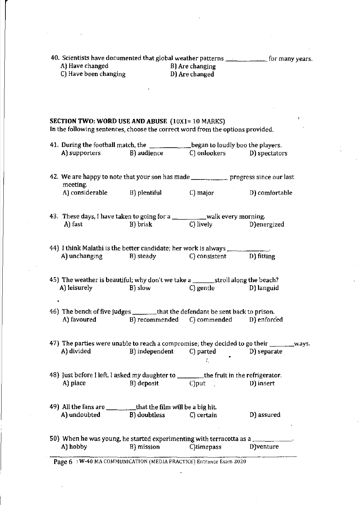| 40. Scientists have documented that global weather patterns _____ | $\frac{1}{2}$ for many years. |  |
|-------------------------------------------------------------------|-------------------------------|--|
| A) Have changed                                                   | B) Are changing               |  |
| C) Have been changing                                             | D) Are changed                |  |

#### SECTION TWO: WORD USE AND ABUSE (10X1= 10 MARKS)

In the following sentences, choose the correct word from the options provided.

|                                                                                          | 41. During the football match, the ____________began to loudly boo the players.         |                            |                                                   |            |  |  |  |
|------------------------------------------------------------------------------------------|-----------------------------------------------------------------------------------------|----------------------------|---------------------------------------------------|------------|--|--|--|
|                                                                                          | A) supporters B) audience C) onlookers D) spectators                                    |                            |                                                   |            |  |  |  |
|                                                                                          |                                                                                         |                            |                                                   |            |  |  |  |
| 42. We are happy to note that your son has made ________________ progress since our last |                                                                                         |                            |                                                   |            |  |  |  |
|                                                                                          | meeting.<br>A) considerable B) plentiful C) major D) comfortable                        |                            |                                                   |            |  |  |  |
|                                                                                          |                                                                                         |                            |                                                   |            |  |  |  |
|                                                                                          |                                                                                         |                            |                                                   |            |  |  |  |
|                                                                                          | 43. These days, I have taken to going for a __________walk every morning.<br>A) fast    | B) brisk                   | C) lively D)energized                             |            |  |  |  |
|                                                                                          |                                                                                         |                            |                                                   |            |  |  |  |
| 44) I think Malathi is the better candidate; her work is always ______________.          |                                                                                         |                            |                                                   |            |  |  |  |
|                                                                                          | A) unchanging B) steady B consistent D) fitting                                         |                            |                                                   |            |  |  |  |
|                                                                                          |                                                                                         |                            |                                                   |            |  |  |  |
|                                                                                          |                                                                                         |                            |                                                   |            |  |  |  |
|                                                                                          |                                                                                         |                            |                                                   |            |  |  |  |
|                                                                                          | A) leisurely B) slow C) gentle D) languid                                               |                            |                                                   |            |  |  |  |
|                                                                                          |                                                                                         |                            |                                                   |            |  |  |  |
|                                                                                          | 46) The bench of five judges _________ that the defendant be sent back to prison.       |                            |                                                   |            |  |  |  |
|                                                                                          | A) favoured B) recommended C) commended D) enforced                                     |                            |                                                   |            |  |  |  |
|                                                                                          |                                                                                         |                            |                                                   |            |  |  |  |
|                                                                                          | 47) The parties were unable to reach a compromise; they decided to go their ______ways. |                            |                                                   |            |  |  |  |
|                                                                                          | A) divided B) independent C) parted D) separate                                         |                            |                                                   |            |  |  |  |
|                                                                                          |                                                                                         |                            | $\mathcal{L}_{\rm{max}}$<br><b>Carl Committee</b> |            |  |  |  |
|                                                                                          | 48) Just before I left, I asked my daughter to ________the fruit in the refrigerator.   |                            |                                                   |            |  |  |  |
|                                                                                          | A) place                                                                                | B) deposit C)put D) insert |                                                   |            |  |  |  |
|                                                                                          |                                                                                         |                            |                                                   |            |  |  |  |
|                                                                                          | 49) All the fans are _________<br>that the film will be a big hit.                      |                            |                                                   |            |  |  |  |
|                                                                                          | A) undoubted                                                                            | B) doubtless               | C) certain                                        | D) assured |  |  |  |
|                                                                                          |                                                                                         |                            |                                                   |            |  |  |  |
|                                                                                          | 50) When he was young, he started experimenting with terracotta as a ___________.       |                            |                                                   |            |  |  |  |
|                                                                                          | A) hobby                                                                                | B) mission                 | C)timepass                                        | D) venture |  |  |  |
|                                                                                          |                                                                                         |                            |                                                   |            |  |  |  |

Page 6 : W-40 MA COMMUNICATION (MEDIA PRACTICE) Entrance Exam 2020

l,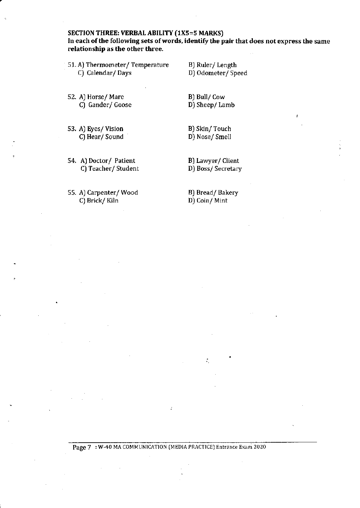#### SECTION THREE: VERBAL ABILITY (1X5=5 MARKS)

## **In each of the following sets of words, identify the pair that does not express the same relationship as the other three.**

**51. A) Thermometer/ Temperature**  C) Calendar/Days

B) Ruler/Length

D) Odometer/ Speed

52. A) *Horsel* Mare **C) Gander/Goose**  B) *Buill* Cow D) *Sheepl* Lamb

B) *Skinl* Touch D) *Nosel* Smell

- 53. A) Eyes/Vision C) Hear/ Sound
- **54. A) Doctor/Patient C) Teacher/Student**

B) Lawyer/ Client

- **DJ** *Bossi* **Secretary**
- 55. A) Carpenter/Wood C) Brick/Kiln

B) *Breadl* Bakery **0) Coin/ Mint** 

> . '.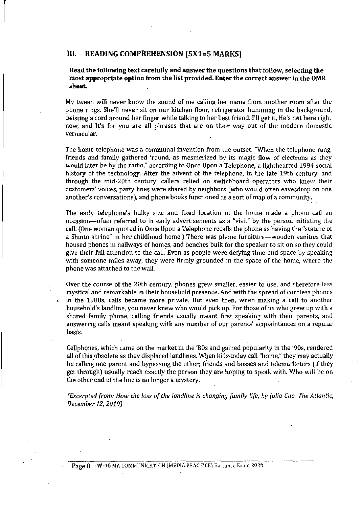## III. READING COMPREHENSION (5Xl=5 MARKS)

### Read the following text carefully and answer the questions that follow, selecting the most appropriate option from the list provided. Enter the correct answer in the OMR sheet.

My tween will never know the sound of me calling her name from another room after the phone rings. She'll never sit on our kitchen floor, refrigerator humming in the background, twisting a cord around her finger while talking to her best friend. I'll get it, He's not here right now, and It's for you are all phrases that are on their way out of the modern domestic vernacular.

The home telephone was a communal invention from the outset. "When the telephone rang, friends and family gathered 'round, as mesmerized by its magic flow of electrons as they would later be by the radio," according to Once Upon a Telephone, a lighthearted 1994 social history of the technology. After the advent of the telephone, in the late 19th century, and through the mid· 20th century, callers relied on sWitchboard operators who knew their customers' voices, party lines were shared by neighbors (who would often eavesdrop on one another's conversations), and phone books functioned as a sort of map of a community.

The early telephone's bulky size and fixed location in the home made a phone call an occasion-often referred to in early advertisements as a "visit" by the person initiating the call. (One woman quoted in Once Upon a Telephone recalls the phone as having the "stature of a Shinto shrine" in her childhood home.) There was phone furniture-wooden vanities that housed phones in hallways of homes, and benches built for the speaker to sit on so they could give their full attention to the call. Even as people were defying time and space by speaking with someone miles away, they were firmly grounded in the space of the home, where the phone was attached to the wall.

Over the course of the 20th century, phones grew smaller. easier to use, and therefore less mystical and remarkable in their household presence. And with the spread of cordless phones in the 1980s, calls became more private, But even then, when making a call to another household's landline, you never knew who would pick up. For those of us who grew up with a shared family phone, calling friends usually meant first speaking with their parents, and answering calls meant speaking with any number of our parents' acquaintances on a regular basis.

Cellphones, which came on the market in the '80s and gained popularity in the '90s, rendered all of this obsolete as they displaced landlines. When kids-today call "home," they may actually be calling one parent and bypassing the other; friends and bosses and telemarketers (if they get through) usually reach exactly the person they are hoping to speak with. Who will be on the other end of the line is no longer a mystery.

*(Excerpted from.' How the loss of the landline is changing family life, by julia Cho, The Atlantic, December 12,2019)*